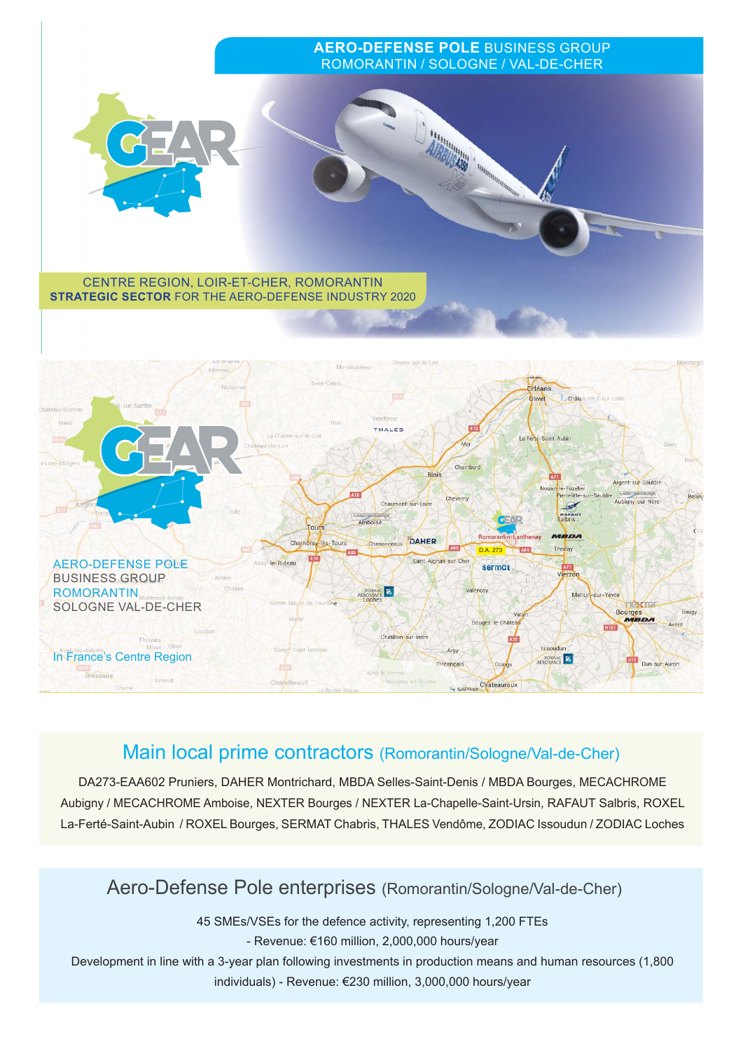

# Main local prime contractors (Romorantin/Sologne/Val-de-Cher)

DA273-EAA602 Pruniers, DAHER Montrichard, MBDA Selles-Saint-Denis / MBDA Bourges, MECACHROME Aubigny / MECACHROME Amboise, NEXTER Bourges / NEXTER La-Chapelle-Saint-Ursin, RAFAUT Salbris, ROXEL La-Ferté-Saint-Aubin / ROXEL Bourges, SERMAT Chabris, THALES Vendôme, ZODIAC Issoudun / ZODIAC Loches

# Aero-Defense Pole enterprises (Romorantin/Sologne/Val-de-Cher)

45 SMEs/VSEs for the defence activity, representing 1,200 FTEs

- Revenue: €160 million, 2,000,000 hours/year

Development in line with a 3-year plan following investments in production means and human resources (1,800 individuals) - Revenue: €230 million, 3,000,000 hours/year